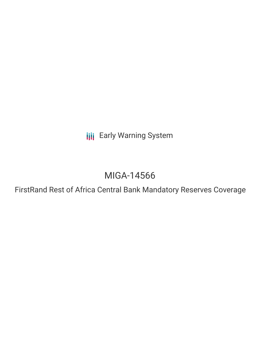**III** Early Warning System

# MIGA-14566

FirstRand Rest of Africa Central Bank Mandatory Reserves Coverage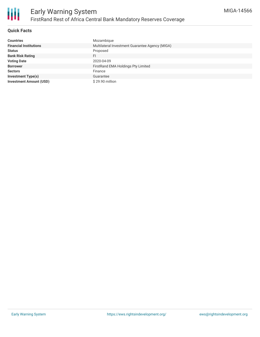

### **Quick Facts**

| <b>Countries</b>               | Mozambique                                      |
|--------------------------------|-------------------------------------------------|
| <b>Financial Institutions</b>  | Multilateral Investment Guarantee Agency (MIGA) |
| <b>Status</b>                  | Proposed                                        |
| <b>Bank Risk Rating</b>        | FI                                              |
| <b>Voting Date</b>             | 2020-04-09                                      |
| <b>Borrower</b>                | FirstRand EMA Holdings Pty Limited              |
| <b>Sectors</b>                 | Finance                                         |
| <b>Investment Type(s)</b>      | Guarantee                                       |
| <b>Investment Amount (USD)</b> | \$29.90 million                                 |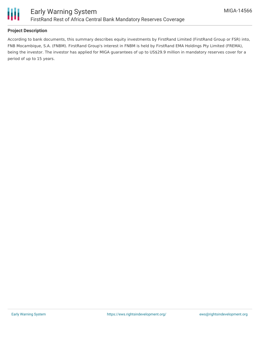

## **Project Description**

According to bank documents, this summary describes equity investments by FirstRand Limited (FirstRand Group or FSR) into, FNB Mocambique, S.A. (FNBM). FirstRand Group's interest in FNBM is held by FirstRand EMA Holdings Pty Limited (FREMA), being the investor. The investor has applied for MIGA guarantees of up to US\$29.9 million in mandatory reserves cover for a period of up to 15 years.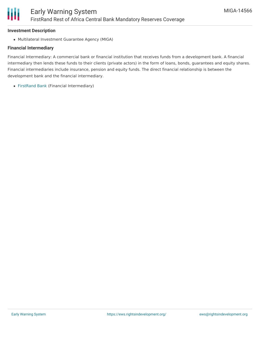#### **Investment Description**

Ш

Multilateral Investment Guarantee Agency (MIGA)

#### **Financial Intermediary**

Financial Intermediary: A commercial bank or financial institution that receives funds from a development bank. A financial intermediary then lends these funds to their clients (private actors) in the form of loans, bonds, guarantees and equity shares. Financial intermediaries include insurance, pension and equity funds. The direct financial relationship is between the development bank and the financial intermediary.

[FirstRand](file:///actor/1554/) Bank (Financial Intermediary)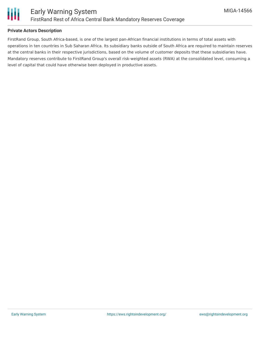

## **Private Actors Description**

FirstRand Group, South Africa-based, is one of the largest pan-African financial institutions in terms of total assets with operations in ten countries in Sub Saharan Africa. Its subsidiary banks outside of South Africa are required to maintain reserves at the central banks in their respective jurisdictions, based on the volume of customer deposits that these subsidiaries have. Mandatory reserves contribute to FirstRand Group's overall risk-weighted assets (RWA) at the consolidated level, consuming a level of capital that could have otherwise been deployed in productive assets.